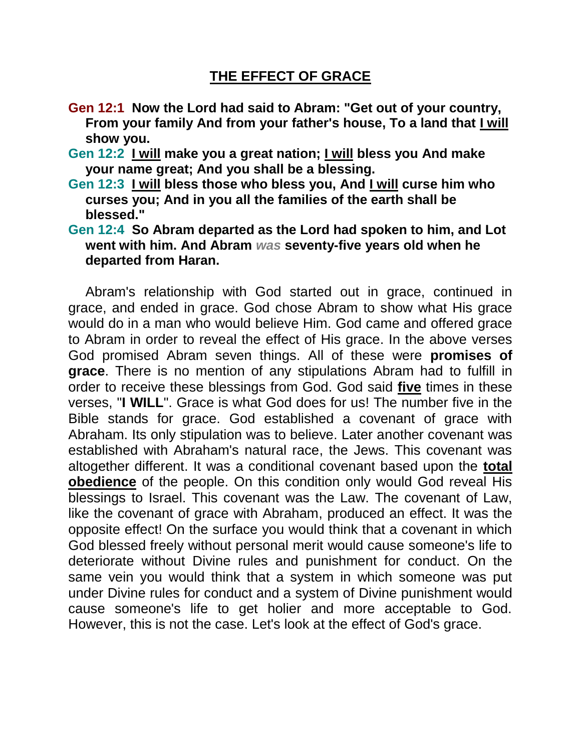## **THE EFFECT OF GRACE**

- **Gen 12:1 Now the Lord had said to Abram: "Get out of your country, From your family And from your father's house, To a land that I will show you.**
- **Gen 12:2 I will make you a great nation; I will bless you And make your name great; And you shall be a blessing.**
- **Gen 12:3 I will bless those who bless you, And I will curse him who curses you; And in you all the families of the earth shall be blessed."**
- **Gen 12:4 So Abram departed as the Lord had spoken to him, and Lot went with him. And Abram** *was* **seventy-five years old when he departed from Haran.**

Abram's relationship with God started out in grace, continued in grace, and ended in grace. God chose Abram to show what His grace would do in a man who would believe Him. God came and offered grace to Abram in order to reveal the effect of His grace. In the above verses God promised Abram seven things. All of these were **promises of grace**. There is no mention of any stipulations Abram had to fulfill in order to receive these blessings from God. God said **five** times in these verses, "**I WILL**". Grace is what God does for us! The number five in the Bible stands for grace. God established a covenant of grace with Abraham. Its only stipulation was to believe. Later another covenant was established with Abraham's natural race, the Jews. This covenant was altogether different. It was a conditional covenant based upon the **total obedience** of the people. On this condition only would God reveal His blessings to Israel. This covenant was the Law. The covenant of Law, like the covenant of grace with Abraham, produced an effect. It was the opposite effect! On the surface you would think that a covenant in which God blessed freely without personal merit would cause someone's life to deteriorate without Divine rules and punishment for conduct. On the same vein you would think that a system in which someone was put under Divine rules for conduct and a system of Divine punishment would cause someone's life to get holier and more acceptable to God. However, this is not the case. Let's look at the effect of God's grace.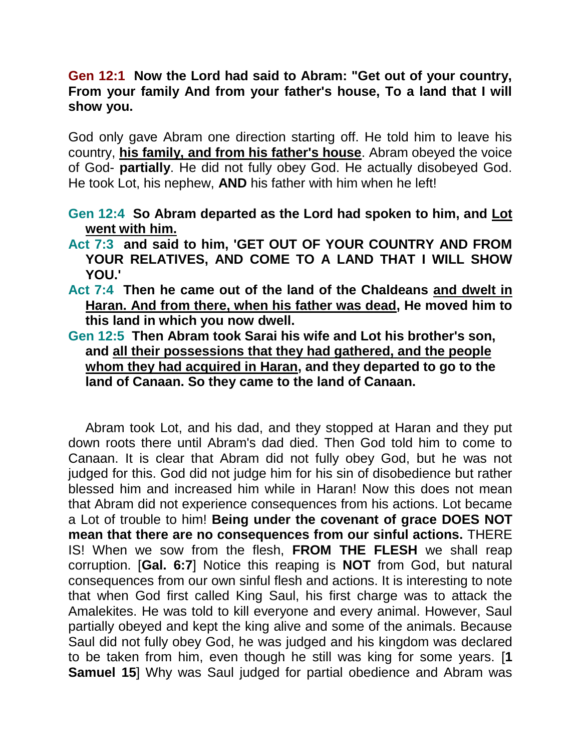## **Gen 12:1 Now the Lord had said to Abram: "Get out of your country, From your family And from your father's house, To a land that I will show you.**

God only gave Abram one direction starting off. He told him to leave his country, **his family, and from his father's house**. Abram obeyed the voice of God- **partially**. He did not fully obey God. He actually disobeyed God. He took Lot, his nephew, **AND** his father with him when he left!

**Gen 12:4 So Abram departed as the Lord had spoken to him, and Lot went with him.** 

- **Act 7:3 and said to him, 'GET OUT OF YOUR COUNTRY AND FROM YOUR RELATIVES, AND COME TO A LAND THAT I WILL SHOW YOU.'**
- **Act 7:4 Then he came out of the land of the Chaldeans and dwelt in Haran. And from there, when his father was dead, He moved him to this land in which you now dwell.**
- **Gen 12:5 Then Abram took Sarai his wife and Lot his brother's son, and all their possessions that they had gathered, and the people whom they had acquired in Haran, and they departed to go to the land of Canaan. So they came to the land of Canaan.**

Abram took Lot, and his dad, and they stopped at Haran and they put down roots there until Abram's dad died. Then God told him to come to Canaan. It is clear that Abram did not fully obey God, but he was not judged for this. God did not judge him for his sin of disobedience but rather blessed him and increased him while in Haran! Now this does not mean that Abram did not experience consequences from his actions. Lot became a Lot of trouble to him! **Being under the covenant of grace DOES NOT mean that there are no consequences from our sinful actions.** THERE IS! When we sow from the flesh, **FROM THE FLESH** we shall reap corruption. [**Gal. 6:7**] Notice this reaping is **NOT** from God, but natural consequences from our own sinful flesh and actions. It is interesting to note that when God first called King Saul, his first charge was to attack the Amalekites. He was told to kill everyone and every animal. However, Saul partially obeyed and kept the king alive and some of the animals. Because Saul did not fully obey God, he was judged and his kingdom was declared to be taken from him, even though he still was king for some years. [**1 Samuel 15**] Why was Saul judged for partial obedience and Abram was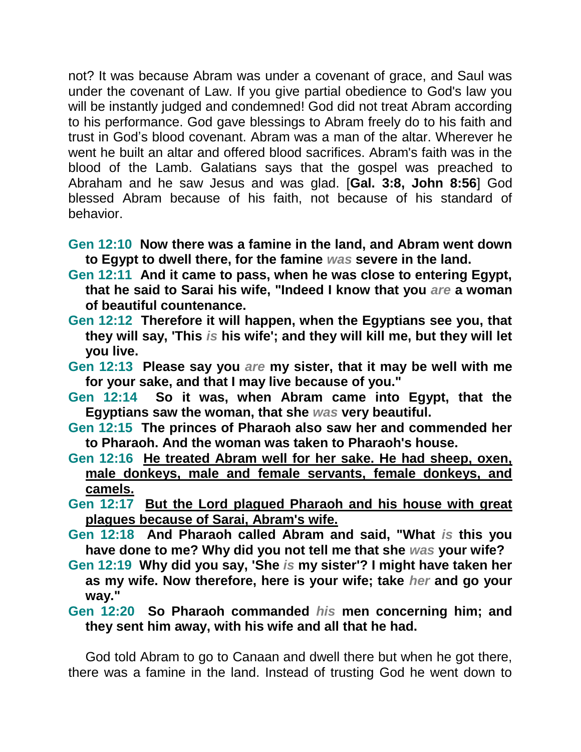not? It was because Abram was under a covenant of grace, and Saul was under the covenant of Law. If you give partial obedience to God's law you will be instantly judged and condemned! God did not treat Abram according to his performance. God gave blessings to Abram freely do to his faith and trust in God's blood covenant. Abram was a man of the altar. Wherever he went he built an altar and offered blood sacrifices. Abram's faith was in the blood of the Lamb. Galatians says that the gospel was preached to Abraham and he saw Jesus and was glad. [**Gal. 3:8, John 8:56**] God blessed Abram because of his faith, not because of his standard of behavior.

- **Gen 12:10 Now there was a famine in the land, and Abram went down to Egypt to dwell there, for the famine** *was* **severe in the land.**
- **Gen 12:11 And it came to pass, when he was close to entering Egypt, that he said to Sarai his wife, "Indeed I know that you** *are* **a woman of beautiful countenance.**
- **Gen 12:12 Therefore it will happen, when the Egyptians see you, that they will say, 'This** *is* **his wife'; and they will kill me, but they will let you live.**
- **Gen 12:13 Please say you** *are* **my sister, that it may be well with me for your sake, and that I may live because of you."**
- **Gen 12:14 So it was, when Abram came into Egypt, that the Egyptians saw the woman, that she** *was* **very beautiful.**
- **Gen 12:15 The princes of Pharaoh also saw her and commended her to Pharaoh. And the woman was taken to Pharaoh's house.**
- **Gen 12:16 He treated Abram well for her sake. He had sheep, oxen, male donkeys, male and female servants, female donkeys, and camels.**
- **Gen 12:17 But the Lord plagued Pharaoh and his house with great plagues because of Sarai, Abram's wife.**
- **Gen 12:18 And Pharaoh called Abram and said, "What** *is* **this you have done to me? Why did you not tell me that she** *was* **your wife?**
- **Gen 12:19 Why did you say, 'She** *is* **my sister'? I might have taken her as my wife. Now therefore, here is your wife; take** *her* **and go your way."**
- **Gen 12:20 So Pharaoh commanded** *his* **men concerning him; and they sent him away, with his wife and all that he had.**

God told Abram to go to Canaan and dwell there but when he got there, there was a famine in the land. Instead of trusting God he went down to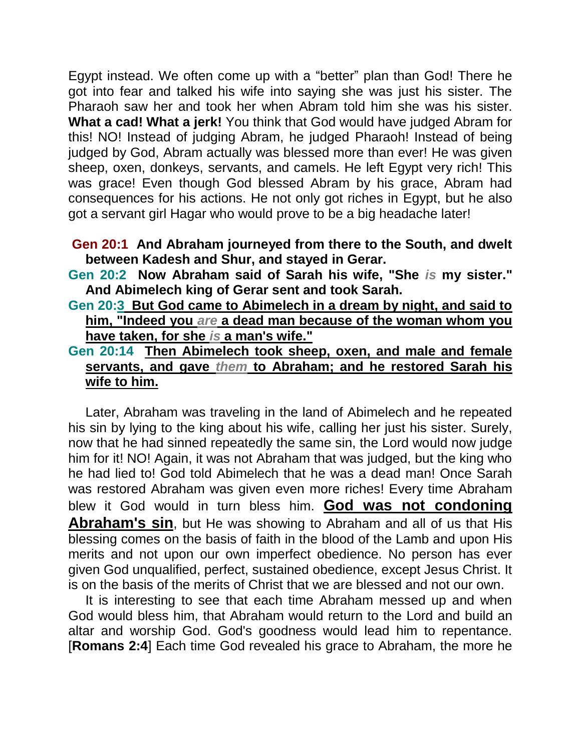Egypt instead. We often come up with a "better" plan than God! There he got into fear and talked his wife into saying she was just his sister. The Pharaoh saw her and took her when Abram told him she was his sister. **What a cad! What a jerk!** You think that God would have judged Abram for this! NO! Instead of judging Abram, he judged Pharaoh! Instead of being judged by God, Abram actually was blessed more than ever! He was given sheep, oxen, donkeys, servants, and camels. He left Egypt very rich! This was grace! Even though God blessed Abram by his grace, Abram had consequences for his actions. He not only got riches in Egypt, but he also got a servant girl Hagar who would prove to be a big headache later!

## **Gen 20:1 And Abraham journeyed from there to the South, and dwelt between Kadesh and Shur, and stayed in Gerar.**

**Gen 20:2 Now Abraham said of Sarah his wife, "She** *is* **my sister." And Abimelech king of Gerar sent and took Sarah.** 

**Gen 20:3 But God came to Abimelech in a dream by night, and said to him, "Indeed you** *are* **a dead man because of the woman whom you have taken, for she** *is* **a man's wife."**

## **Gen 20:14 Then Abimelech took sheep, oxen, and male and female servants, and gave** *them* **to Abraham; and he restored Sarah his wife to him.**

Later, Abraham was traveling in the land of Abimelech and he repeated his sin by lying to the king about his wife, calling her just his sister. Surely, now that he had sinned repeatedly the same sin, the Lord would now judge him for it! NO! Again, it was not Abraham that was judged, but the king who he had lied to! God told Abimelech that he was a dead man! Once Sarah was restored Abraham was given even more riches! Every time Abraham blew it God would in turn bless him. **God was not condoning Abraham's sin**, but He was showing to Abraham and all of us that His blessing comes on the basis of faith in the blood of the Lamb and upon His merits and not upon our own imperfect obedience. No person has ever given God unqualified, perfect, sustained obedience, except Jesus Christ. It is on the basis of the merits of Christ that we are blessed and not our own.

It is interesting to see that each time Abraham messed up and when God would bless him, that Abraham would return to the Lord and build an altar and worship God. God's goodness would lead him to repentance. [**Romans 2:4**] Each time God revealed his grace to Abraham, the more he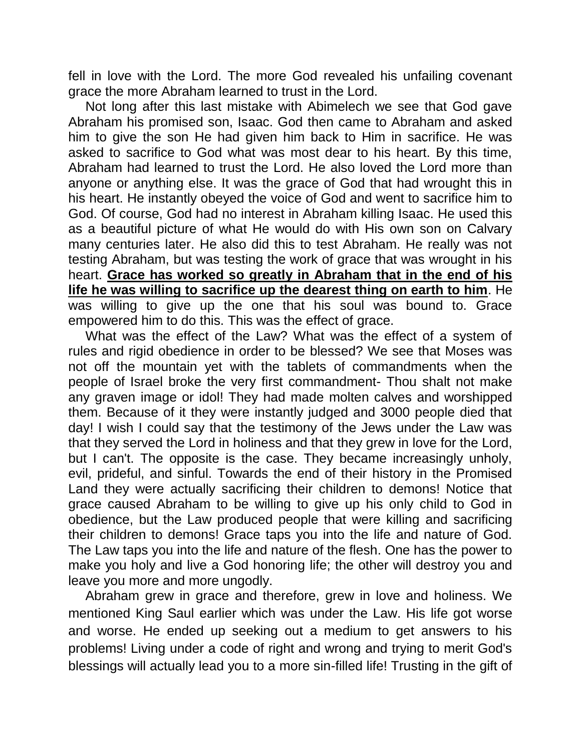fell in love with the Lord. The more God revealed his unfailing covenant grace the more Abraham learned to trust in the Lord.

Not long after this last mistake with Abimelech we see that God gave Abraham his promised son, Isaac. God then came to Abraham and asked him to give the son He had given him back to Him in sacrifice. He was asked to sacrifice to God what was most dear to his heart. By this time, Abraham had learned to trust the Lord. He also loved the Lord more than anyone or anything else. It was the grace of God that had wrought this in his heart. He instantly obeyed the voice of God and went to sacrifice him to God. Of course, God had no interest in Abraham killing Isaac. He used this as a beautiful picture of what He would do with His own son on Calvary many centuries later. He also did this to test Abraham. He really was not testing Abraham, but was testing the work of grace that was wrought in his heart. **Grace has worked so greatly in Abraham that in the end of his life he was willing to sacrifice up the dearest thing on earth to him**. He was willing to give up the one that his soul was bound to. Grace empowered him to do this. This was the effect of grace.

What was the effect of the Law? What was the effect of a system of rules and rigid obedience in order to be blessed? We see that Moses was not off the mountain yet with the tablets of commandments when the people of Israel broke the very first commandment- Thou shalt not make any graven image or idol! They had made molten calves and worshipped them. Because of it they were instantly judged and 3000 people died that day! I wish I could say that the testimony of the Jews under the Law was that they served the Lord in holiness and that they grew in love for the Lord, but I can't. The opposite is the case. They became increasingly unholy, evil, prideful, and sinful. Towards the end of their history in the Promised Land they were actually sacrificing their children to demons! Notice that grace caused Abraham to be willing to give up his only child to God in obedience, but the Law produced people that were killing and sacrificing their children to demons! Grace taps you into the life and nature of God. The Law taps you into the life and nature of the flesh. One has the power to make you holy and live a God honoring life; the other will destroy you and leave you more and more ungodly.

Abraham grew in grace and therefore, grew in love and holiness. We mentioned King Saul earlier which was under the Law. His life got worse and worse. He ended up seeking out a medium to get answers to his problems! Living under a code of right and wrong and trying to merit God's blessings will actually lead you to a more sin-filled life! Trusting in the gift of